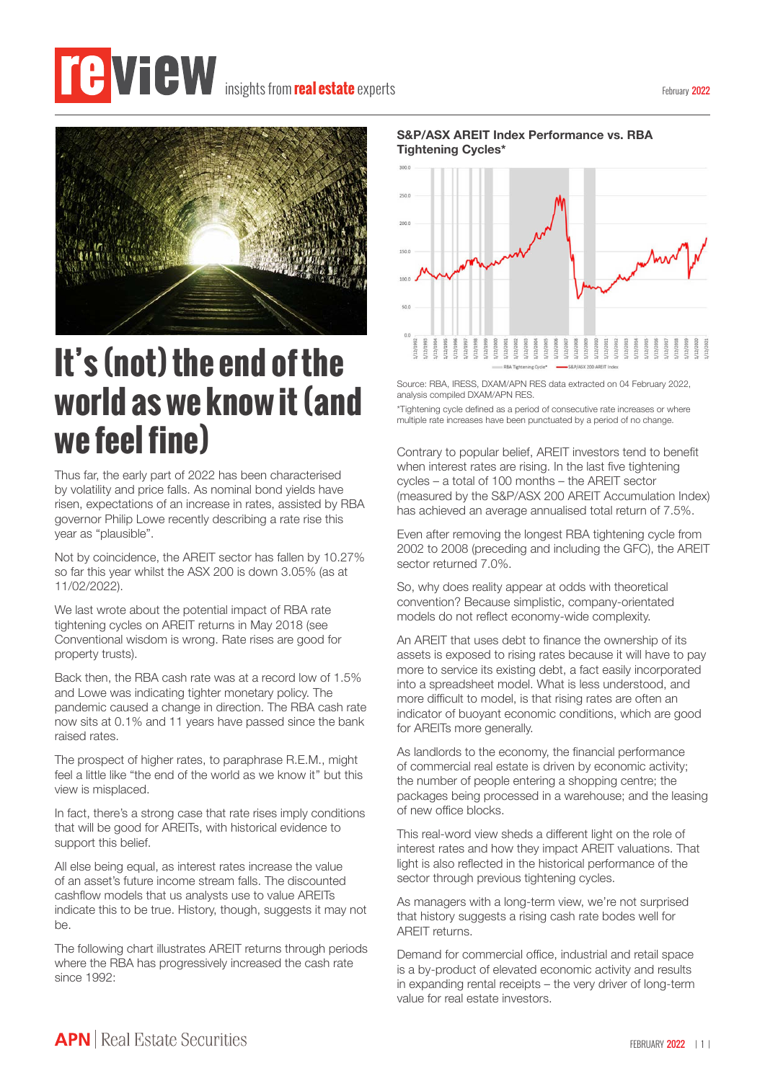## insights from**real estate** experts



## **It's (not) the end of the world as we know it (and we feel fine)**

Thus far, the early part of 2022 has been characterised by volatility and price falls. As nominal bond yields have risen, expectations of an increase in rates, assisted by RBA governor Philip Lowe recently describing a rate rise this year as "plausible".

Not by coincidence, the AREIT sector has fallen by 10.27% so far this year whilst the ASX 200 is down 3.05% (as at 11/02/2022).

We last wrote about the potential impact of RBA rate tightening cycles on AREIT returns in May 2018 (see Conventional wisdom is wrong. Rate rises are good for property trusts).

Back then, the RBA cash rate was at a record low of 1.5% and Lowe was indicating tighter monetary policy. The pandemic caused a change in direction. The RBA cash rate now sits at 0.1% and 11 years have passed since the bank raised rates.

The prospect of higher rates, to paraphrase R.E.M., might feel a little like "the end of the world as we know it'' but this view is misplaced.

In fact, there's a strong case that rate rises imply conditions that will be good for AREITs, with historical evidence to support this belief.

All else being equal, as interest rates increase the value of an asset's future income stream falls. The discounted cashflow models that us analysts use to value AREITs indicate this to be true. History, though, suggests it may not be.

The following chart illustrates AREIT returns through periods where the RBA has progressively increased the cash rate since 1992:

**S&P/ASX AREIT Index Performance vs. RBA Tightening Cycles\***



Source: RBA, IRESS, DXAM/APN RES data extracted on 04 February 2022, analysis compiled DXAM/APN RES

\*Tightening cycle defined as a period of consecutive rate increases or where multiple rate increases have been punctuated by a period of no change.

Contrary to popular belief, AREIT investors tend to benefit when interest rates are rising. In the last five tightening cycles – a total of 100 months – the AREIT sector (measured by the S&P/ASX 200 AREIT Accumulation Index) has achieved an average annualised total return of 7.5%.

Even after removing the longest RBA tightening cycle from 2002 to 2008 (preceding and including the GFC), the AREIT sector returned 7.0%.

So, why does reality appear at odds with theoretical convention? Because simplistic, company-orientated models do not reflect economy-wide complexity.

An AREIT that uses debt to finance the ownership of its assets is exposed to rising rates because it will have to pay more to service its existing debt, a fact easily incorporated into a spreadsheet model. What is less understood, and more difficult to model, is that rising rates are often an indicator of buoyant economic conditions, which are good for AREITs more generally.

As landlords to the economy, the financial performance of commercial real estate is driven by economic activity; the number of people entering a shopping centre; the packages being processed in a warehouse; and the leasing of new office blocks.

This real-word view sheds a different light on the role of interest rates and how they impact AREIT valuations. That light is also reflected in the historical performance of the sector through previous tightening cycles.

As managers with a long-term view, we're not surprised that history suggests a rising cash rate bodes well for AREIT returns.

Demand for commercial office, industrial and retail space is a by-product of elevated economic activity and results in expanding rental receipts – the very driver of long-term value for real estate investors.